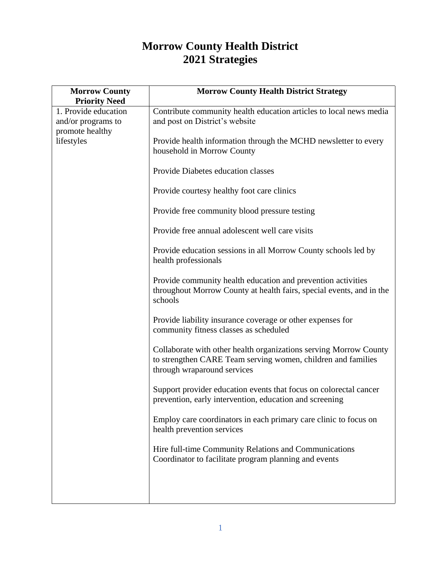## **Morrow County Health District 2021 Strategies**

| <b>Morrow County</b><br><b>Priority Need</b>                                | <b>Morrow County Health District Strategy</b>                                                                                                                    |
|-----------------------------------------------------------------------------|------------------------------------------------------------------------------------------------------------------------------------------------------------------|
| 1. Provide education<br>and/or programs to<br>promote healthy<br>lifestyles | Contribute community health education articles to local news media<br>and post on District's website                                                             |
|                                                                             | Provide health information through the MCHD newsletter to every<br>household in Morrow County                                                                    |
|                                                                             | Provide Diabetes education classes                                                                                                                               |
|                                                                             | Provide courtesy healthy foot care clinics                                                                                                                       |
|                                                                             | Provide free community blood pressure testing                                                                                                                    |
|                                                                             | Provide free annual adolescent well care visits                                                                                                                  |
|                                                                             | Provide education sessions in all Morrow County schools led by<br>health professionals                                                                           |
|                                                                             | Provide community health education and prevention activities<br>throughout Morrow County at health fairs, special events, and in the<br>schools                  |
|                                                                             | Provide liability insurance coverage or other expenses for<br>community fitness classes as scheduled                                                             |
|                                                                             | Collaborate with other health organizations serving Morrow County<br>to strengthen CARE Team serving women, children and families<br>through wraparound services |
|                                                                             | Support provider education events that focus on colorectal cancer<br>prevention, early intervention, education and screening                                     |
|                                                                             | Employ care coordinators in each primary care clinic to focus on<br>health prevention services                                                                   |
|                                                                             | Hire full-time Community Relations and Communications<br>Coordinator to facilitate program planning and events                                                   |
|                                                                             |                                                                                                                                                                  |
|                                                                             |                                                                                                                                                                  |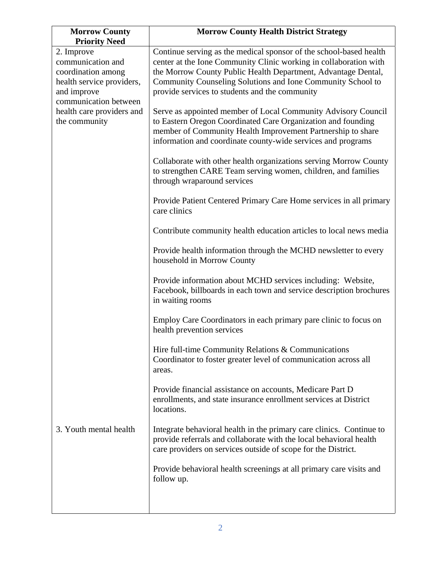| <b>Morrow County</b><br><b>Priority Need</b>                                                                                                                             | <b>Morrow County Health District Strategy</b>                                                                                                                                                                                                                                                                             |
|--------------------------------------------------------------------------------------------------------------------------------------------------------------------------|---------------------------------------------------------------------------------------------------------------------------------------------------------------------------------------------------------------------------------------------------------------------------------------------------------------------------|
| 2. Improve<br>communication and<br>coordination among<br>health service providers,<br>and improve<br>communication between<br>health care providers and<br>the community | Continue serving as the medical sponsor of the school-based health<br>center at the Ione Community Clinic working in collaboration with<br>the Morrow County Public Health Department, Advantage Dental,<br>Community Counseling Solutions and Ione Community School to<br>provide services to students and the community |
|                                                                                                                                                                          | Serve as appointed member of Local Community Advisory Council<br>to Eastern Oregon Coordinated Care Organization and founding<br>member of Community Health Improvement Partnership to share<br>information and coordinate county-wide services and programs                                                              |
|                                                                                                                                                                          | Collaborate with other health organizations serving Morrow County<br>to strengthen CARE Team serving women, children, and families<br>through wraparound services                                                                                                                                                         |
|                                                                                                                                                                          | Provide Patient Centered Primary Care Home services in all primary<br>care clinics                                                                                                                                                                                                                                        |
|                                                                                                                                                                          | Contribute community health education articles to local news media                                                                                                                                                                                                                                                        |
|                                                                                                                                                                          | Provide health information through the MCHD newsletter to every<br>household in Morrow County                                                                                                                                                                                                                             |
|                                                                                                                                                                          | Provide information about MCHD services including: Website,<br>Facebook, billboards in each town and service description brochures<br>in waiting rooms                                                                                                                                                                    |
|                                                                                                                                                                          | Employ Care Coordinators in each primary pare clinic to focus on<br>health prevention services                                                                                                                                                                                                                            |
|                                                                                                                                                                          | Hire full-time Community Relations & Communications<br>Coordinator to foster greater level of communication across all<br>areas.                                                                                                                                                                                          |
|                                                                                                                                                                          | Provide financial assistance on accounts, Medicare Part D<br>enrollments, and state insurance enrollment services at District<br>locations.                                                                                                                                                                               |
| 3. Youth mental health                                                                                                                                                   | Integrate behavioral health in the primary care clinics. Continue to<br>provide referrals and collaborate with the local behavioral health<br>care providers on services outside of scope for the District.                                                                                                               |
|                                                                                                                                                                          | Provide behavioral health screenings at all primary care visits and<br>follow up.                                                                                                                                                                                                                                         |
|                                                                                                                                                                          |                                                                                                                                                                                                                                                                                                                           |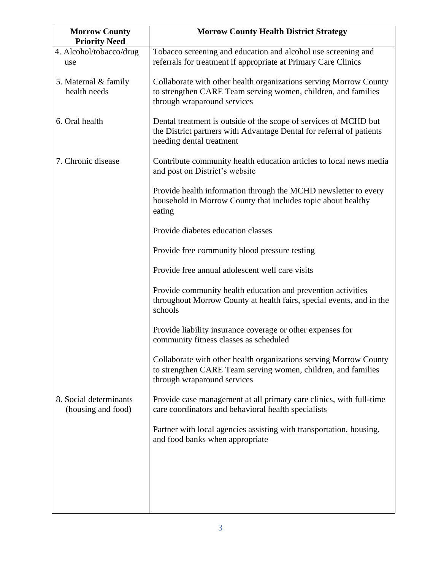| <b>Morrow County</b><br><b>Priority Need</b> | <b>Morrow County Health District Strategy</b>                                                                                                                        |
|----------------------------------------------|----------------------------------------------------------------------------------------------------------------------------------------------------------------------|
| 4. Alcohol/tobacco/drug<br>use               | Tobacco screening and education and alcohol use screening and<br>referrals for treatment if appropriate at Primary Care Clinics                                      |
| 5. Maternal & family<br>health needs         | Collaborate with other health organizations serving Morrow County<br>to strengthen CARE Team serving women, children, and families<br>through wraparound services    |
| 6. Oral health                               | Dental treatment is outside of the scope of services of MCHD but<br>the District partners with Advantage Dental for referral of patients<br>needing dental treatment |
| 7. Chronic disease                           | Contribute community health education articles to local news media<br>and post on District's website                                                                 |
|                                              | Provide health information through the MCHD newsletter to every<br>household in Morrow County that includes topic about healthy<br>eating                            |
|                                              | Provide diabetes education classes                                                                                                                                   |
|                                              | Provide free community blood pressure testing                                                                                                                        |
|                                              | Provide free annual adolescent well care visits                                                                                                                      |
|                                              | Provide community health education and prevention activities<br>throughout Morrow County at health fairs, special events, and in the<br>schools                      |
|                                              | Provide liability insurance coverage or other expenses for<br>community fitness classes as scheduled                                                                 |
|                                              | Collaborate with other health organizations serving Morrow County<br>to strengthen CARE Team serving women, children, and families<br>through wraparound services    |
| 8. Social determinants<br>(housing and food) | Provide case management at all primary care clinics, with full-time<br>care coordinators and behavioral health specialists                                           |
|                                              | Partner with local agencies assisting with transportation, housing,<br>and food banks when appropriate                                                               |
|                                              |                                                                                                                                                                      |
|                                              |                                                                                                                                                                      |
|                                              |                                                                                                                                                                      |